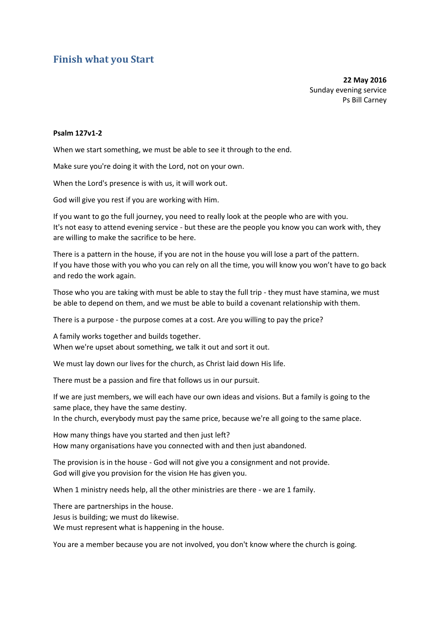## **Finish what you Start**

**22 May 2016**  Sunday evening service Ps Bill Carney

## **Psalm 127v1-2**

When we start something, we must be able to see it through to the end.

Make sure you're doing it with the Lord, not on your own.

When the Lord's presence is with us, it will work out.

God will give you rest if you are working with Him.

If you want to go the full journey, you need to really look at the people who are with you. It's not easy to attend evening service - but these are the people you know you can work with, they are willing to make the sacrifice to be here.

There is a pattern in the house, if you are not in the house you will lose a part of the pattern. If you have those with you who you can rely on all the time, you will know you won't have to go back and redo the work again.

Those who you are taking with must be able to stay the full trip - they must have stamina, we must be able to depend on them, and we must be able to build a covenant relationship with them.

There is a purpose - the purpose comes at a cost. Are you willing to pay the price?

A family works together and builds together. When we're upset about something, we talk it out and sort it out.

We must lay down our lives for the church, as Christ laid down His life.

There must be a passion and fire that follows us in our pursuit.

If we are just members, we will each have our own ideas and visions. But a family is going to the same place, they have the same destiny.

In the church, everybody must pay the same price, because we're all going to the same place.

How many things have you started and then just left? How many organisations have you connected with and then just abandoned.

The provision is in the house - God will not give you a consignment and not provide. God will give you provision for the vision He has given you.

When 1 ministry needs help, all the other ministries are there - we are 1 family.

There are partnerships in the house. Jesus is building; we must do likewise. We must represent what is happening in the house.

You are a member because you are not involved, you don't know where the church is going.